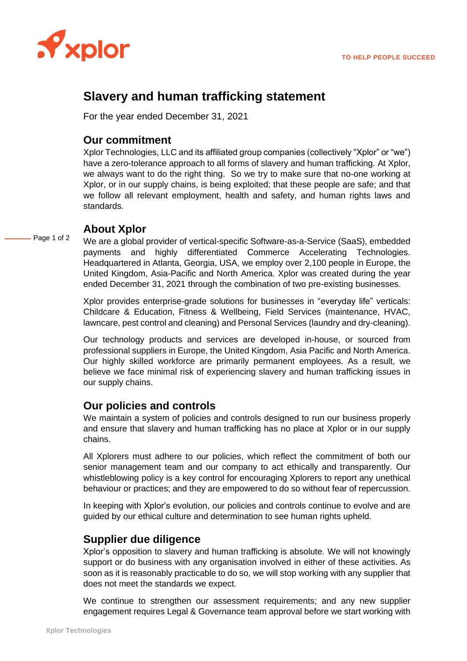

# **Slavery and human trafficking statement**

For the year ended December 31, 2021

#### **Our commitment**

Xplor Technologies, LLC and its affiliated group companies (collectively "Xplor" or "we") have a zero-tolerance approach to all forms of slavery and human trafficking. At Xplor, we always want to do the right thing. So we try to make sure that no-one working at Xplor, or in our supply chains, is being exploited; that these people are safe; and that we follow all relevant employment, health and safety, and human rights laws and standards.

#### **About Xplor**

Page 1 of 2 We are a global provider of vertical-specific Software-as-a-Service (SaaS), embedded payments and highly differentiated Commerce Accelerating Technologies. Headquartered in Atlanta, Georgia, USA, we employ over 2,100 people in Europe, the United Kingdom, Asia-Pacific and North America. Xplor was created during the year ended December 31, 2021 through the combination of two pre-existing businesses.

> Xplor provides enterprise-grade solutions for businesses in "everyday life" verticals: Childcare & Education, Fitness & Wellbeing, Field Services (maintenance, HVAC, lawncare, pest control and cleaning) and Personal Services (laundry and dry-cleaning).

> Our technology products and services are developed in-house, or sourced from professional suppliers in Europe, the United Kingdom, Asia Pacific and North America. Our highly skilled workforce are primarily permanent employees. As a result, we believe we face minimal risk of experiencing slavery and human trafficking issues in our supply chains.

### **Our policies and controls**

We maintain a system of policies and controls designed to run our business properly and ensure that slavery and human trafficking has no place at Xplor or in our supply chains.

All Xplorers must adhere to our policies, which reflect the commitment of both our senior management team and our company to act ethically and transparently. Our whistleblowing policy is a key control for encouraging Xplorers to report any unethical behaviour or practices; and they are empowered to do so without fear of repercussion.

In keeping with Xplor's evolution, our policies and controls continue to evolve and are guided by our ethical culture and determination to see human rights upheld.

#### **Supplier due diligence**

Xplor's opposition to slavery and human trafficking is absolute. We will not knowingly support or do business with any organisation involved in either of these activities. As soon as it is reasonably practicable to do so, we will stop working with any supplier that does not meet the standards we expect.

We continue to strengthen our assessment requirements; and any new supplier engagement requires Legal & Governance team approval before we start working with